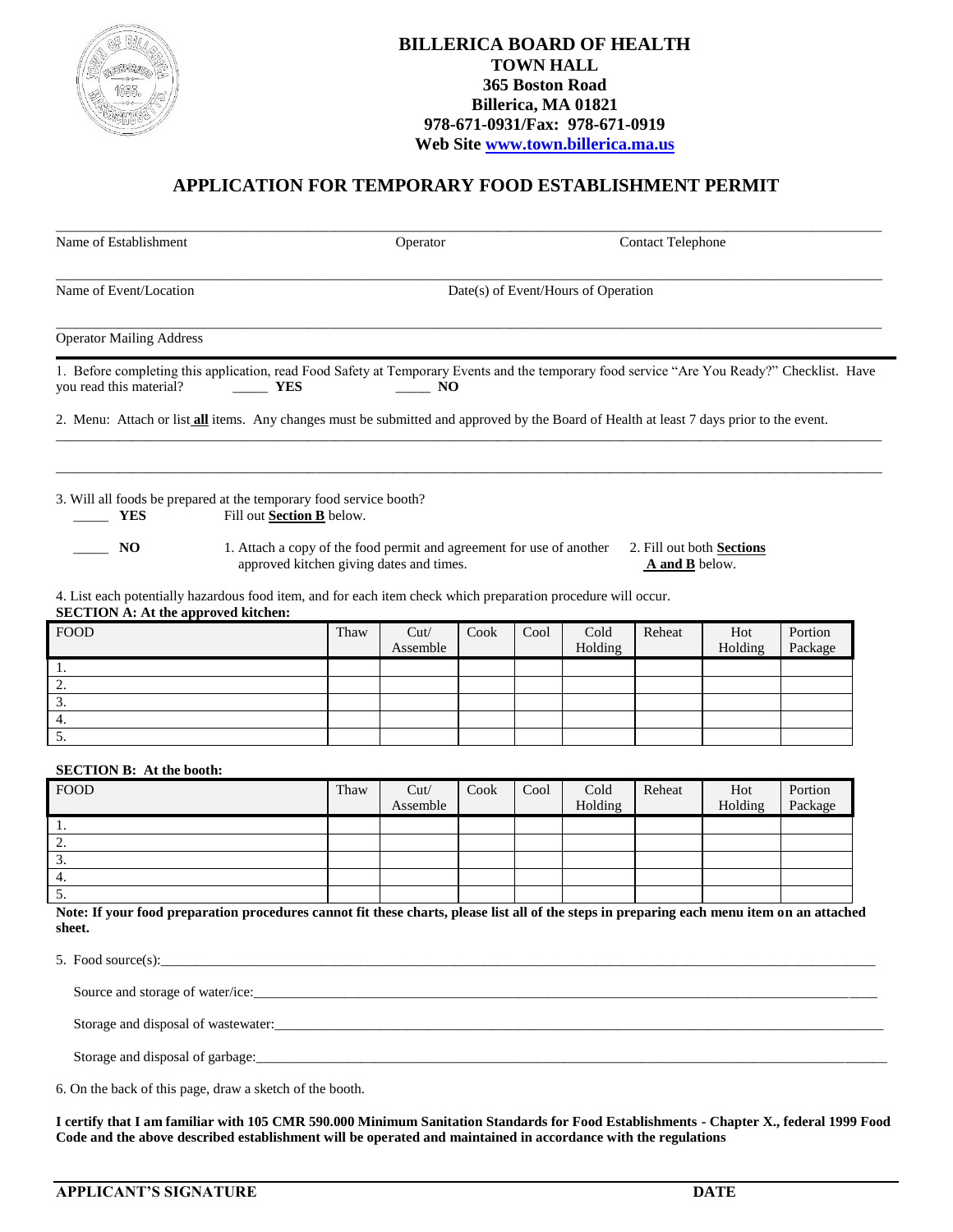

## **BILLERICA BOARD OF HEALTH TOWN HALL 365 Boston Road Billerica, MA 01821 978-671-0931/Fax: 978-671-0919 Web Site [www.town.billerica.ma.us](http://www.town.billerica.ma.us/)**

## **APPLICATION FOR TEMPORARY FOOD ESTABLISHMENT PERMIT**

| Name of Establishment                                                                                                                                                                                                                                                                                                                                           |      | Operator                            |      |      | <b>Contact Telephone</b> |                |                                  |                    |  |  |  |  |
|-----------------------------------------------------------------------------------------------------------------------------------------------------------------------------------------------------------------------------------------------------------------------------------------------------------------------------------------------------------------|------|-------------------------------------|------|------|--------------------------|----------------|----------------------------------|--------------------|--|--|--|--|
| Name of Event/Location                                                                                                                                                                                                                                                                                                                                          |      | Date(s) of Event/Hours of Operation |      |      |                          |                |                                  |                    |  |  |  |  |
| <b>Operator Mailing Address</b>                                                                                                                                                                                                                                                                                                                                 |      |                                     |      |      |                          |                |                                  |                    |  |  |  |  |
| 1. Before completing this application, read Food Safety at Temporary Events and the temporary food service "Are You Ready?" Checklist. Have<br>you read this material?<br><b>EXECUTE:</b>                                                                                                                                                                       |      | $\sim$ NO                           |      |      |                          |                |                                  |                    |  |  |  |  |
| 2. Menu: Attach or list <b>all</b> items. Any changes must be submitted and approved by the Board of Health at least 7 days prior to the event.                                                                                                                                                                                                                 |      |                                     |      |      |                          |                |                                  |                    |  |  |  |  |
| 3. Will all foods be prepared at the temporary food service booth?<br>Fill out Section B below.<br><b>YES</b><br>$\sim$ NO<br>1. Attach a copy of the food permit and agreement for use of another<br>approved kitchen giving dates and times.<br>4. List each potentially hazardous food item, and for each item check which preparation procedure will occur. |      |                                     |      |      |                          | A and B below. | 2. Fill out both <b>Sections</b> |                    |  |  |  |  |
| <b>SECTION A: At the approved kitchen:</b><br><b>FOOD</b>                                                                                                                                                                                                                                                                                                       | Thaw | Cut/                                | Cook | Cool | Cold                     | Reheat         | Hot                              | Portion            |  |  |  |  |
|                                                                                                                                                                                                                                                                                                                                                                 |      | Assemble                            |      |      | Holding                  |                | Holding                          | Package            |  |  |  |  |
| 1.                                                                                                                                                                                                                                                                                                                                                              |      |                                     |      |      |                          |                |                                  |                    |  |  |  |  |
| 2.                                                                                                                                                                                                                                                                                                                                                              |      |                                     |      |      |                          |                |                                  |                    |  |  |  |  |
| 3.                                                                                                                                                                                                                                                                                                                                                              |      |                                     |      |      |                          |                |                                  |                    |  |  |  |  |
| 4.                                                                                                                                                                                                                                                                                                                                                              |      |                                     |      |      |                          |                |                                  |                    |  |  |  |  |
| 5.                                                                                                                                                                                                                                                                                                                                                              |      |                                     |      |      |                          |                |                                  |                    |  |  |  |  |
| <b>SECTION B: At the booth:</b>                                                                                                                                                                                                                                                                                                                                 |      |                                     |      |      |                          |                |                                  |                    |  |  |  |  |
| <b>FOOD</b>                                                                                                                                                                                                                                                                                                                                                     | Thaw | Cut/<br>Assemble                    | Cook | Cool | Cold<br>Holding          | Reheat         | Hot<br>Holding                   | Portion<br>Package |  |  |  |  |
| 1.                                                                                                                                                                                                                                                                                                                                                              |      |                                     |      |      |                          |                |                                  |                    |  |  |  |  |
| $\overline{2}$ .                                                                                                                                                                                                                                                                                                                                                |      |                                     |      |      |                          |                |                                  |                    |  |  |  |  |
| $\overline{3}$ .                                                                                                                                                                                                                                                                                                                                                |      |                                     |      |      |                          |                |                                  |                    |  |  |  |  |
| 4.                                                                                                                                                                                                                                                                                                                                                              |      |                                     |      |      |                          |                |                                  |                    |  |  |  |  |
| 5.                                                                                                                                                                                                                                                                                                                                                              |      |                                     |      |      |                          |                |                                  |                    |  |  |  |  |
| Note: If your food preparation procedures cannot fit these charts, please list all of the steps in preparing each menu item on an attached<br>sheet.                                                                                                                                                                                                            |      |                                     |      |      |                          |                |                                  |                    |  |  |  |  |
| 5. Food source(s): $\qquad \qquad \qquad$                                                                                                                                                                                                                                                                                                                       |      |                                     |      |      |                          |                |                                  |                    |  |  |  |  |
| Source and storage of water/ice:                                                                                                                                                                                                                                                                                                                                |      |                                     |      |      |                          |                |                                  |                    |  |  |  |  |

Storage and disposal of wastewater:\_\_\_\_\_\_\_\_\_\_\_\_\_\_\_\_\_\_\_\_\_\_\_\_\_\_\_\_\_\_\_\_\_\_\_\_\_\_\_\_\_\_\_\_\_\_\_\_\_\_\_\_\_\_\_\_\_\_\_\_\_\_\_\_\_\_\_\_\_\_\_\_\_\_\_\_\_\_\_\_\_\_\_\_\_\_\_

Storage and disposal of garbage:

6. On the back of this page, draw a sketch of the booth.

**I certify that I am familiar with 105 CMR 590.000 Minimum Sanitation Standards for Food Establishments - Chapter X., federal 1999 Food Code and the above described establishment will be operated and maintained in accordance with the regulations**